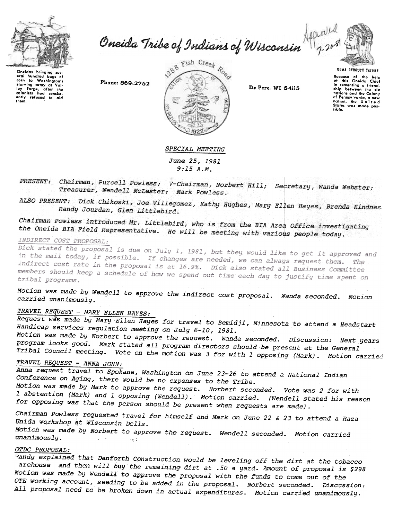

curn to Washington's<br>starving army at Valley Forge, after the<br>loopints had consist-<br>only refused to aid<br>them, to Washington's

baas of

oral hundrod

corn

Oneida Tribe of Indians of Wisconsin April

Phone: 869-2752



De Pere, WI 54115

UGWA DENOLUN YATENE Because of the help<br>of this Oneida Chief<br>in comenting a friendship botween the nations and the Colony nations and the country<br>of Pennsylvania, a new<br>nation, the United<br>States was made pos-States<br>sible.

#### SPECIAL MEETING

June 25, 1981  $9:15A.M.$ 

PRESENT: Chairman, Purcell Powless; V-Chairman, Norbert Hill; Secretary, Wanda Webster; Treasurer, Wendell McLester; Mark Powless.

ALSO PRESENT: Dick Chikoski, Joe Villegomez, Kathy Hughes, Mary Ellen Hayes, Brenda Kindnes. Randy Jourdan, Glen Littlebird.

Chairman Powless introduced Mr. Littlebird, who is from the BIA Area Office investigating the Oneida BIA Field Representative. He will be meeting with various people today.

## INDIRECT COST PROPOSAL:

Dick stated the proposal is due on July 1, 1981, but they would like to get it approved and in the mail today, if possible. If changes are needed, we can always request them. The indirect cost rate in the proposal is at 16.9%. Dick also stated all Business Committee members should keep a schedule of how we spend out time each day to justify time spent on tribal programs.

Motion was made by Wendell to approve the indirect cost proposal. Wanda seconded. Motion carried unanimously.

# TRAVEL REQUEST - MARY ELLEN HAYES:

Request was made by Mary Ellen Hayes for travel to Bemidji, Minnesota to attend a Headstart Handicap services regulation meeting on July 6-10, 1981.

Motion was made by Norbert to approve the request. Wanda seconded. Discussion: Next years program looks good. Mark stated all program directors should be present at the General Tribal Council meeting. Vote on the motion was 3 for with 1 opposing (Mark). Motion carried

# TRAVEL REQUEST - ANNA JOHN:

Anna request travel to Spokane, Washington on June 23-26 to attend a National Indian Conference on Aging, there would be no expenses to the Tribe.

Motion was made by Mark to approve the request. Norbert seconded. Vote was 2 for with 1 abstention (Mark) and 1 opposing (Wendell). Motion carried. (Wendell stated his reason for opposing was that the person should be present when requests are made).

Chairman Powless requested travel for himself and Mark on June 22 & 23 to attend a Raza Unida workshop at Wisconsin Dells.

Motion was made by Norbert to approve the request. Wendell seconded. Motion carried unanimously.  $\sim 10^6$ 

# OTDC PROPOSAL:

Randy explained that Danforth Construction would be leveling off the dirt at the tobacco arehouse and then will buy the remaining dirt at .50 a yard. Amount of proposal is \$298 Motion was made by Wendell to approve the proposal with the funds to come out of the OTE working account, seeding to be added in the proposal. Norbert seconded. Discussion: All proposal need to be broken down in actual expenditures. Motion carried unanimously.